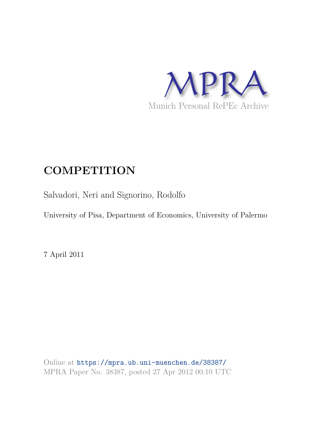

# **COMPETITION**

Salvadori, Neri and Signorino, Rodolfo

University of Pisa, Department of Economics, University of Palermo

7 April 2011

Online at https://mpra.ub.uni-muenchen.de/38387/ MPRA Paper No. 38387, posted 27 Apr 2012 00:10 UTC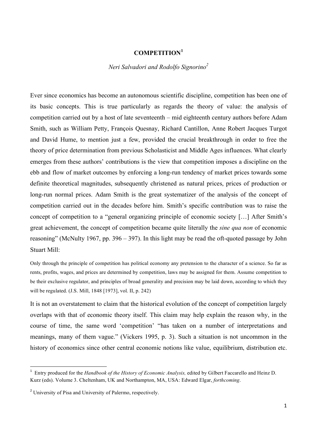## **COMPETITION<sup>1</sup>**

## *Neri Salvadori and Rodolfo Signorino<sup>2</sup>*

Ever since economics has become an autonomous scientific discipline, competition has been one of its basic concepts. This is true particularly as regards the theory of value: the analysis of competition carried out by a host of late seventeenth – mid eighteenth century authors before Adam Smith, such as William Petty, François Quesnay, Richard Cantillon, Anne Robert Jacques Turgot and David Hume, to mention just a few, provided the crucial breakthrough in order to free the theory of price determination from previous Scholasticist and Middle Ages influences. What clearly emerges from these authors' contributions is the view that competition imposes a discipline on the ebb and flow of market outcomes by enforcing a long-run tendency of market prices towards some definite theoretical magnitudes, subsequently christened as natural prices, prices of production or long-run normal prices. Adam Smith is the great systematizer of the analysis of the concept of competition carried out in the decades before him. Smith's specific contribution was to raise the concept of competition to a "general organizing principle of economic society […] After Smith's great achievement, the concept of competition became quite literally the *sine qua non* of economic reasoning" (McNulty 1967, pp. 396 – 397). In this light may be read the oft-quoted passage by John Stuart Mill:

Only through the principle of competition has political economy any pretension to the character of a science. So far as rents, profits, wages, and prices are determined by competition, laws may be assigned for them. Assume competition to be their exclusive regulator, and principles of broad generality and precision may be laid down, according to which they will be regulated. (J.S. Mill, 1848 [1973], vol. II, p. 242)

It is not an overstatement to claim that the historical evolution of the concept of competition largely overlaps with that of economic theory itself. This claim may help explain the reason why, in the course of time, the same word 'competition' "has taken on a number of interpretations and meanings, many of them vague." (Vickers 1995, p. 3). Such a situation is not uncommon in the history of economics since other central economic notions like value, equilibrium, distribution etc.

<u> 1989 - Johann Barbara, martxa al</u>

<sup>&</sup>lt;sup>1</sup> Entry produced for the *Handbook of the History of Economic Analysis*, edited by Gilbert Faccarello and Heinz D. Kurz (eds). Volume 3. Cheltenham, UK and Northampton, MA, USA: Edward Elgar, *forthcoming*.

<sup>&</sup>lt;sup>2</sup> University of Pisa and University of Palermo, respectively.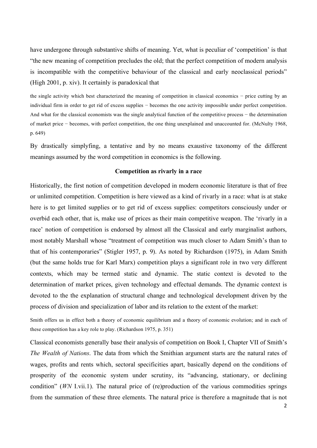have undergone through substantive shifts of meaning. Yet, what is peculiar of 'competition' is that "the new meaning of competition precludes the old; that the perfect competition of modern analysis is incompatible with the competitive behaviour of the classical and early neoclassical periods" (High 2001, p. xiv). It certainly is paradoxical that

the single activity which best characterized the meaning of competition in classical economics − price cutting by an individual firm in order to get rid of excess supplies − becomes the one activity impossible under perfect competition. And what for the classical economists was the single analytical function of the competitive process − the determination of market price − becomes, with perfect competition, the one thing unexplained and unaccounted for. (McNulty 1968, p. 649)

By drastically simplyfing, a tentative and by no means exaustive taxonomy of the different meanings assumed by the word competition in economics is the following.

#### **Competition as rivarly in a race**

Historically, the first notion of competition developed in modern economic literature is that of free or unlimited competition. Competition is here viewed as a kind of rivarly in a race: what is at stake here is to get limited supplies or to get rid of excess supplies: competitors consciously under or overbid each other, that is, make use of prices as their main competitive weapon. The 'rivarly in a race' notion of competition is endorsed by almost all the Classical and early marginalist authors, most notably Marshall whose "treatment of competition was much closer to Adam Smith's than to that of his contemporaries" (Stigler 1957, p. 9). As noted by Richardson (1975), in Adam Smith (but the same holds true for Karl Marx) competition plays a significant role in two very different contexts, which may be termed static and dynamic. The static context is devoted to the determination of market prices, given technology and effectual demands. The dynamic context is devoted to the the explanation of structural change and technological development driven by the process of division and specialization of labor and its relation to the extent of the market:

Smith offers us in effect both a theory of economic equilibrium and a theory of economic evolution; and in each of these competition has a key role to play. (Richardson 1975, p. 351)

Classical economists generally base their analysis of competition on Book I, Chapter VII of Smith's *The Wealth of Nations*. The data from which the Smithian argument starts are the natural rates of wages, profits and rents which, sectoral specificities apart, basically depend on the conditions of prosperity of the economic system under scrutiny, its "advancing, stationary, or declining condition" (*WN* I.vii.1). The natural price of (re)production of the various commodities springs from the summation of these three elements. The natural price is therefore a magnitude that is not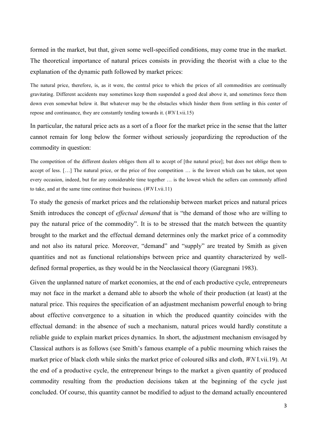formed in the market, but that, given some well-specified conditions, may come true in the market. The theoretical importance of natural prices consists in providing the theorist with a clue to the explanation of the dynamic path followed by market prices:

The natural price, therefore, is, as it were, the central price to which the prices of all commodities are continually gravitating. Different accidents may sometimes keep them suspended a good deal above it, and sometimes force them down even somewhat below it. But whatever may be the obstacles which hinder them from settling in this center of repose and continuance, they are constantly tending towards it. (*WN* I.vii.15)

In particular, the natural price acts as a sort of a floor for the market price in the sense that the latter cannot remain for long below the former without seriously jeopardizing the reproduction of the commodity in question:

The competition of the different dealers obliges them all to accept of [the natural price]; but does not oblige them to accept of less. […] The natural price, or the price of free competition … is the lowest which can be taken, not upon every occasion, indeed, but for any considerable time together … is the lowest which the sellers can commonly afford to take, and at the same time continue their business. (*WN* I.vii.11)

To study the genesis of market prices and the relationship between market prices and natural prices Smith introduces the concept of *effectual demand* that is "the demand of those who are willing to pay the natural price of the commodity". It is to be stressed that the match between the quantity brought to the market and the effectual demand determines only the market price of a commodity and not also its natural price. Moreover, "demand" and "supply" are treated by Smith as given quantities and not as functional relationships between price and quantity characterized by welldefined formal properties, as they would be in the Neoclassical theory (Garegnani 1983).

Given the unplanned nature of market economies, at the end of each productive cycle, entrepreneurs may not face in the market a demand able to absorb the whole of their production (at least) at the natural price. This requires the specification of an adjustment mechanism powerful enough to bring about effective convergence to a situation in which the produced quantity coincides with the effectual demand: in the absence of such a mechanism, natural prices would hardly constitute a reliable guide to explain market prices dynamics. In short, the adjustment mechanism envisaged by Classical authors is as follows (see Smith's famous example of a public mourning which raises the market price of black cloth while sinks the market price of coloured silks and cloth, *WN* I.vii.19). At the end of a productive cycle, the entrepreneur brings to the market a given quantity of produced commodity resulting from the production decisions taken at the beginning of the cycle just concluded. Of course, this quantity cannot be modified to adjust to the demand actually encountered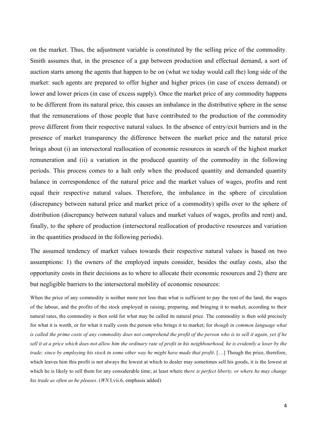on the market. Thus, the adjustment variable is constituted by the selling price of the commodity. Smith assumes that, in the presence of a gap between production and effectual demand, a sort of auction starts among the agents that happen to be on (what we today would call the) long side of the market: such agents are prepared to offer higher and higher prices (in case of excess demand) or lower and lower prices (in case of excess supply). Once the market price of any commodity happens to be different from its natural price, this causes an imbalance in the distributive sphere in the sense that the remunerations of those people that have contributed to the production of the commodity prove different from their respective natural values. In the absence of entry/exit barriers and in the presence of market transparency the difference between the market price and the natural price brings about (i) an intersectoral reallocation of economic resources in search of the highest market remuneration and (ii) a variation in the produced quantity of the commodity in the following periods. This process comes to a halt only when the produced quantity and demanded quantity balance in correspondence of the natural price and the market values of wages, profits and rent equal their respective natural values. Therefore, the imbalance in the sphere of circulation (discrepancy between natural price and market price of a commodity) spills over to the sphere of distribution (discrepancy between natural values and market values of wages, profits and rent) and, finally, to the sphere of production (intersectoral reallocation of productive resources and variation in the quantities produced in the following periods).

The assumed tendency of market values towards their respective natural values is based on two assumptions: 1) the owners of the employed inputs consider, besides the outlay costs, also the opportunity costs in their decisions as to where to allocate their economic resources and 2) there are but negligible barriers to the intersectoral mobility of economic resources:

When the price of any commodity is neither more nor less than what is sufficient to pay the rent of the land, the wages of the labour, and the profits of the stock employed in raising, preparing, and bringing it to market, according to their natural rates, the commodity is then sold for what may be called its natural price. The commodity is then sold precisely for what it is worth, or for what it really costs the person who brings it to market; for *though in common language what is called the prime costs of any commodity does not comprehend the profit of the person who is to sell it again, yet if he sell it at a price which does not allow him the ordinary rate of profit in his neighbourhood, he is evidently a loser by the trade; since by employing his stock in some other way he might have made that profit*. [...] Though the price, therefore, which leaves him this profit is not always the lowest at which to dealer may sometimes sell his goods, it is the lowest at which he is likely to sell them for any considerable time; at least where *there is perfect liberty, or where he may change his trade as often as he pleases*. (*WN* I.vii.6, emphasis added)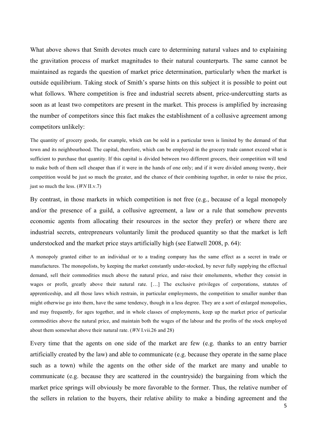What above shows that Smith devotes much care to determining natural values and to explaining the gravitation process of market magnitudes to their natural counterparts. The same cannot be maintained as regards the question of market price determination, particularly when the market is outside equilibrium. Taking stock of Smith's sparse hints on this subject it is possible to point out what follows. Where competition is free and industrial secrets absent, price-undercutting starts as soon as at least two competitors are present in the market. This process is amplified by increasing the number of competitors since this fact makes the establishment of a collusive agreement among competitors unlikely:

The quantity of grocery goods, for example, which can be sold in a particular town is limited by the demand of that town and its neighbourhood. The capital, therefore, which can be employed in the grocery trade cannot exceed what is sufficient to purchase that quantity. If this capital is divided between two different grocers, their competition will tend to make both of them sell cheaper than if it were in the hands of one only; and if it were divided among twenty, their competition would be just so much the greater, and the chance of their combining together, in order to raise the price, just so much the less. (*WN* II.v.7)

By contrast, in those markets in which competition is not free (e.g., because of a legal monopoly and/or the presence of a guild, a collusive agreement, a law or a rule that somehow prevents economic agents from allocating their resources in the sector they prefer) or where there are industrial secrets, entrepreneurs voluntarily limit the produced quantity so that the market is left understocked and the market price stays artificially high (see Eatwell 2008, p. 64):

A monopoly granted either to an individual or to a trading company has the same effect as a secret in trade or manufactures. The monopolists, by keeping the market constantly under-stocked, by never fully supplying the effectual demand, sell their commodities much above the natural price, and raise their emoluments, whether they consist in wages or profit, greatly above their natural rate. [...] The exclusive privileges of corporations, statutes of apprenticeship, and all those laws which restrain, in particular employments, the competition to smaller number than might otherwise go into them, have the same tendency, though in a less degree. They are a sort of enlarged monopolies, and may frequently, for ages together, and in whole classes of employments, keep up the market price of particular commodities above the natural price, and maintain both the wages of the labour and the profits of the stock employed about them somewhat above their natural rate. (*WN* I.vii.26 and 28)

Every time that the agents on one side of the market are few (e.g. thanks to an entry barrier artificially created by the law) and able to communicate (e.g. because they operate in the same place such as a town) while the agents on the other side of the market are many and unable to communicate (e.g. because they are scattered in the countryside) the bargaining from which the market price springs will obviously be more favorable to the former. Thus, the relative number of the sellers in relation to the buyers, their relative ability to make a binding agreement and the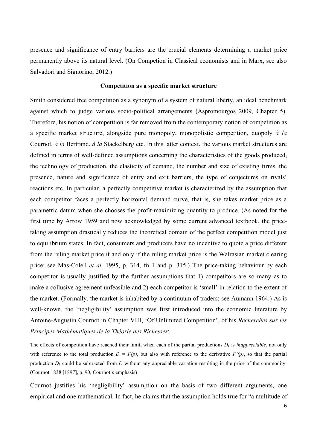presence and significance of entry barriers are the crucial elements determining a market price permanently above its natural level. (On Competion in Classical economists and in Marx, see also Salvadori and Signorino, 2012.)

#### **Competition as a specific market structure**

Smith considered free competition as a synonym of a system of natural liberty, an ideal benchmark against which to judge various socio-political arrangements (Aspromourgos 2009, Chapter 5). Therefore, his notion of competition is far removed from the contemporary notion of competition as a specific market structure, alongside pure monopoly, monopolistic competition, duopoly *à la* Cournot, *à la* Bertrand, *à la* Stackelberg etc. In this latter context, the various market structures are defined in terms of well-defined assumptions concerning the characteristics of the goods produced, the technology of production, the elasticity of demand, the number and size of existing firms, the presence, nature and significance of entry and exit barriers, the type of conjectures on rivals' reactions etc. In particular, a perfectly competitive market is characterized by the assumption that each competitor faces a perfectly horizontal demand curve, that is, she takes market price as a parametric datum when she chooses the profit-maximizing quantity to produce. (As noted for the first time by Arrow 1959 and now acknowledged by some current advanced textbook, the pricetaking assumption drastically reduces the theoretical domain of the perfect competition model just to equilibrium states. In fact, consumers and producers have no incentive to quote a price different from the ruling market price if and only if the ruling market price is the Walrasian market clearing price: see Mas-Colell *et al*. 1995, p. 314, fn 1 and p. 315.) The price-taking behaviour by each competitor is usually justified by the further assumptions that 1) competitors are so many as to make a collusive agreement unfeasible and 2) each competitor is 'small' in relation to the extent of the market. (Formally, the market is inhabited by a continuum of traders: see Aumann 1964.) As is well-known, the 'negligibility' assumption was first introduced into the economic literature by Antoine-Augustin Cournot in Chapter VIII, 'Of Unlimited Competition', of his *Recherches sur les Principes Mathématiques de la Théorie des Richesses*:

The effects of competition have reached their limit, when each of the partial productions  $D_k$  is *inappreciable*, not only with reference to the total production  $D = F(p)$ , but also with reference to the derivative  $F'(p)$ , so that the partial production  $D_k$  could be subtracted from  $D$  without any appreciable variation resulting in the price of the commodity. (Cournot 1838 [1897], p. 90, Cournot's emphasis)

Cournot justifies his 'negligibility' assumption on the basis of two different arguments, one empirical and one mathematical. In fact, he claims that the assumption holds true for "a multitude of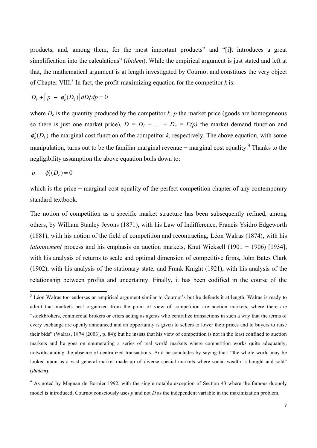products, and, among them, for the most important products" and "[i]t introduces a great simplification into the calculations" (*ibidem*). While the empirical argument is just stated and left at that, the mathematical argument is at length investigated by Cournot and constitues the very object of Chapter VIII.<sup>3</sup> In fact, the profit-maximizing equation for the competitor  $k$  is:

$$
D_k + [p - \phi'_k(D_k)]dD/dp = 0
$$

<u> 1989 - Johann Barn, mars ann an t-Aonaich an t-Aonaich an t-Aonaich an t-Aonaich an t-Aonaich ann an t-Aonaich</u>

where  $D_k$  is the quantity produced by the competitor  $k$ ,  $p$  the market price (goods are homogeneous so there is just one market price),  $D = D_1 + ... + D_n = F(p)$  the market demand function and  $\phi'_k(D_k)$  the marginal cost function of the competitor *k*, respectively. The above equation, with some manipulation, turns out to be the familiar marginal revenue – marginal cost equality.<sup>4</sup> Thanks to the negligibility assumption the above equation boils down to:

$$
p - \phi_k'(D_k) = 0
$$

which is the price − marginal cost equality of the perfect competition chapter of any contemporary standard textbook.

The notion of competition as a specific market structure has been subsequently refined, among others, by William Stanley Jevons (1871), with his Law of Indifference, Francis Ysidro Edgeworth (1881), with his notion of the field of competition and recontracting, Léon Walras (1874), with his *tatonnement* process and his emphasis on auction markets, Knut Wicksell (1901 − 1906) [1934], with his analysis of returns to scale and optimal dimension of competitive firms, John Bates Clark (1902), with his analysis of the stationary state, and Frank Knight (1921), with his analysis of the relationship between profits and uncertainty. Finally, it has been codified in the course of the

<sup>&</sup>lt;sup>3</sup> Léon Walras too endorses an empirical argument similar to Cournot's but he defends it at length. Walras is ready to admit that markets best organized from the point of view of competition are auction markets, where there are "stockbrokers, commercial brokers or criers acting as agents who centralize transactions in such a way that the terms of every exchange are openly announced and an opportunity is given to sellers to lower their prices and to buyers to raise their bids" (Walras, 1874 [2003], p. 84); but he insists that his view of competition is not in the least confined to auction markets and he goes on enumerating a series of real world markets where competition works quite adequately, notwithstanding the absence of centralized transactions. And he concludes by saying that: "the whole world may be looked upon as a vast general market made up of diverse special markets where social wealth is bought and sold" (*ibidem*).

<sup>&</sup>lt;sup>4</sup> As noted by Magnan de Bornier 1992, with the single notable exception of Section 43 where the famous duopoly model is introduced, Cournot consciously uses *p* and not *D* as the independent variable in the maximization problem.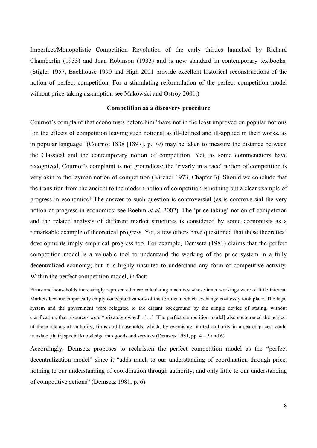Imperfect/Monopolistic Competition Revolution of the early thirties launched by Richard Chamberlin (1933) and Joan Robinson (1933) and is now standard in contemporary textbooks. (Stigler 1957, Backhouse 1990 and High 2001 provide excellent historical reconstructions of the notion of perfect competition. For a stimulating reformulation of the perfect competition model without price-taking assumption see Makowski and Ostroy 2001.)

#### **Competition as a discovery procedure**

Cournot's complaint that economists before him "have not in the least improved on popular notions [on the effects of competition leaving such notions] as ill-defined and ill-applied in their works, as in popular language" (Cournot 1838 [1897], p. 79) may be taken to measure the distance between the Classical and the contemporary notion of competition. Yet, as some commentators have recognized, Cournot's complaint is not groundless: the 'rivarly in a race' notion of competition is very akin to the layman notion of competition (Kirzner 1973, Chapter 3). Should we conclude that the transition from the ancient to the modern notion of competition is nothing but a clear example of progress in economics? The answer to such question is controversial (as is controversial the very notion of progress in economics: see Boehm *et al.* 2002). The 'price taking' notion of competition and the related analysis of different market structures is considered by some economists as a remarkable example of theoretical progress. Yet, a few others have questioned that these theoretical developments imply empirical progress too. For example, Demsetz (1981) claims that the perfect competition model is a valuable tool to understand the working of the price system in a fully decentralized economy; but it is highly unsuited to understand any form of competitive activity. Within the perfect competition model, in fact:

Firms and households increasingly represented mere calculating machines whose inner workings were of little interest. Markets became empirically empty conceptualizations of the forums in which exchange costlessly took place. The legal system and the government were relegated to the distant background by the simple device of stating, without clarification, that resources were "privately owned". […] [The perfect competition model] also encouraged the neglect of those islands of authority, firms and households, which, by exercising limited authority in a sea of prices, could translate [their] special knowledge into goods and services (Demsetz 1981, pp. 4 – 5 and 6)

Accordingly, Demsetz proposes to rechristen the perfect competition model as the "perfect decentralization model" since it "adds much to our understanding of coordination through price, nothing to our understanding of coordination through authority, and only little to our understanding of competitive actions" (Demsetz 1981, p. 6)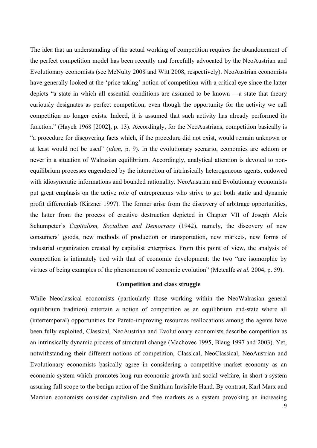The idea that an understanding of the actual working of competition requires the abandonement of the perfect competition model has been recently and forcefully advocated by the NeoAustrian and Evolutionary economists (see McNulty 2008 and Witt 2008, respectively). NeoAustrian economists have generally looked at the 'price taking' notion of competition with a critical eye since the latter depicts "a state in which all essential conditions are assumed to be known —a state that theory curiously designates as perfect competition, even though the opportunity for the activity we call competition no longer exists. Indeed, it is assumed that such activity has already performed its function." (Hayek 1968 [2002], p. 13). Accordingly, for the NeoAustrians, competition basically is "a procedure for discovering facts which, if the procedure did not exist, would remain unknown or at least would not be used" (*idem*, p. 9). In the evolutionary scenario, economies are seldom or never in a situation of Walrasian equilibrium. Accordingly, analytical attention is devoted to nonequilibrium processes engendered by the interaction of intrinsically heterogeneous agents, endowed with idiosyncratic informations and bounded rationality. NeoAustrian and Evolutionary economists put great emphasis on the active role of entrepreneurs who strive to get both static and dynamic profit differentials (Kirzner 1997). The former arise from the discovery of arbitrage opportunities, the latter from the process of creative destruction depicted in Chapter VII of Joseph Alois Schumpeter's *Capitalism, Socialism and Democracy* (1942), namely, the discovery of new consumers' goods, new methods of production or transportation, new markets, new forms of industrial organization created by capitalist enterprises. From this point of view, the analysis of competition is intimately tied with that of economic development: the two "are isomorphic by virtues of being examples of the phenomenon of economic evolution" (Metcalfe *et al.* 2004, p. 59).

### **Competition and class struggle**

While Neoclassical economists (particularly those working within the NeoWalrasian general equilibrium tradition) entertain a notion of competition as an equilibrium end-state where all (intertemporal) opportunities for Pareto-improving resources reallocations among the agents have been fully exploited, Classical, NeoAustrian and Evolutionary economists describe competition as an intrinsically dynamic process of structural change (Machovec 1995, Blaug 1997 and 2003). Yet, notwithstanding their different notions of competition, Classical, NeoClassical, NeoAustrian and Evolutionary economists basically agree in considering a competitive market economy as an economic system which promotes long-run economic growth and social welfare, in short a system assuring full scope to the benign action of the Smithian Invisible Hand. By contrast, Karl Marx and Marxian economists consider capitalism and free markets as a system provoking an increasing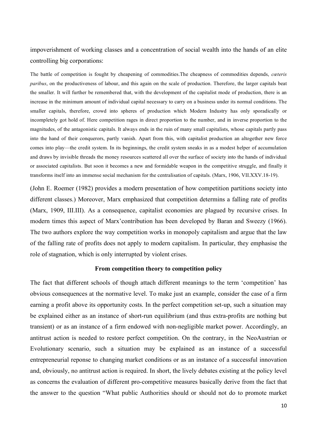impoverishment of working classes and a concentration of social wealth into the hands of an elite controlling big corporations:

The battle of competition is fought by cheapening of commodities.The cheapness of commodities depends, *cœteris paribus*, on the productiveness of labour, and this again on the scale of production. Therefore, the larger capitals beat the smaller. It will further be remembered that, with the development of the capitalist mode of production, there is an increase in the minimum amount of individual capital necessary to carry on a business under its normal conditions. The smaller capitals, therefore, crowd into spheres of production which Modern Industry has only sporadically or incompletely got hold of. Here competition rages in direct proportion to the number, and in inverse proportion to the magnitudes, of the antagonistic capitals. It always ends in the ruin of many small capitalists, whose capitals partly pass into the hand of their conquerors, partly vanish. Apart from this, with capitalist production an altogether new force comes into play—the credit system. In its beginnings, the credit system sneaks in as a modest helper of accumulation and draws by invisible threads the money resources scattered all over the surface of society into the hands of individual or associated capitalists. But soon it becomes a new and formidable weapon in the competitive struggle, and finally it transforms itself into an immense social mechanism for the centralisation of capitals. (Marx, 1906, VII.XXV.18-19).

(John E. Roemer (1982) provides a modern presentation of how competition partitions society into different classes.) Moreover, Marx emphasized that competition determins a falling rate of profits (Marx, 1909, III.III). As a consequence, capitalist economies are plagued by recursive crises. In modern times this aspect of Marx'contribution has been developed by Baran and Sweezy (1966). The two authors explore the way competition works in monopoly capitalism and argue that the law of the falling rate of profits does not apply to modern capitalism. In particular, they emphasise the role of stagnation, which is only interrupted by violent crises.

#### **From competition theory to competition policy**

The fact that different schools of though attach different meanings to the term 'competition' has obvious consequences at the normative level. To make just an example, consider the case of a firm earning a profit above its opportunity costs. In the perfect competition set-up, such a situation may be explained either as an instance of short-run equilibrium (and thus extra-profits are nothing but transient) or as an instance of a firm endowed with non-negligible market power. Accordingly, an antitrust action is needed to restore perfect competition. On the contrary, in the NeoAustrian or Evolutionary scenario, such a situation may be explained as an instance of a successful entrepreneurial reponse to changing market conditions or as an instance of a successful innovation and, obviously, no antitrust action is required. In short, the lively debates existing at the policy level as concerns the evaluation of different pro-competitive measures basically derive from the fact that the answer to the question "What public Authorities should or should not do to promote market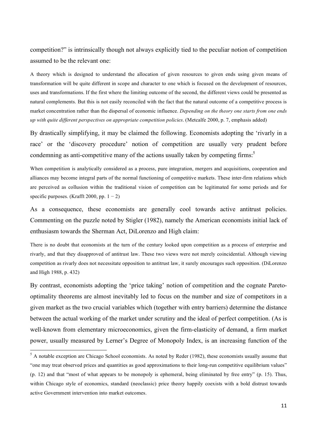competition?" is intrinsically though not always explicitly tied to the peculiar notion of competition assumed to be the relevant one:

A theory which is designed to understand the allocation of given resources to given ends using given means of transformation will be quite different in scope and character to one which is focused on the development of resources, uses and transformations. If the first where the limiting outcome of the second, the different views could be presented as natural complements. But this is not easily reconciled with the fact that the natural outcome of a competitive process is market concentration rather than the dispersal of economic influence. *Depending on the theory one starts from one ends up with quite different perspectives on appropriate competition policies*. (Metcalfe 2000, p. 7, emphasis added)

By drastically simplifying, it may be claimed the following. Economists adopting the 'rivarly in a race' or the 'discovery procedure' notion of competition are usually very prudent before condemning as anti-competitive many of the actions usually taken by competing firms:<sup>5</sup>

When competition is analytically considered as a process, pure integration, mergers and acquisitions, cooperation and alliances may become integral parts of the normal functioning of competitive markets. These inter-firm relations which are perceived as collusion within the traditional vision of competition can be legitimated for some periods and for specific purposes. (Krafft 2000, pp.  $1 - 2$ )

As a consequence, these economists are generally cool towards active antitrust policies. Commenting on the puzzle noted by Stigler (1982), namely the American economists initial lack of enthusiasm towards the Sherman Act, DiLorenzo and High claim:

There is no doubt that economists at the turn of the century looked upon competition as a process of enterprise and rivarly, and that they disapproved of antitrust law. These two views were not merely coincidential. Although viewing competition as rivarly does not necessitate opposition to antitrust law, it surely encourages such opposition. (DiLorenzo and High 1988, p. 432)

By contrast, economists adopting the 'price taking' notion of competition and the cognate Paretooptimality theorems are almost inevitably led to focus on the number and size of competitors in a given market as the two crucial variables which (together with entry barriers) determine the distance between the actual working of the market under scrutiny and the ideal of perfect competition. (As is well-known from elementary microeconomics, given the firm-elasticity of demand, a firm market power, usually measured by Lerner's Degree of Monopoly Index, is an increasing function of the

<u> 1989 - Johann Barn, mars ann an t-Aonaich an t-Aonaich an t-Aonaich an t-Aonaich an t-Aonaich ann an t-Aonaich</u>

<sup>&</sup>lt;sup>5</sup> A notable exception are Chicago School economists. As noted by Reder (1982), these economists usually assume that "one may treat observed prices and quantities as good approximations to their long-run competitive equilibrium values" (p. 12) and that "most of what appears to be monopoly is ephemeral, being eliminated by free entry" (p. 15). Thus, within Chicago style of economics, standard (neoclassic) price theory happily coexists with a bold distrust towards active Government intervention into market outcomes.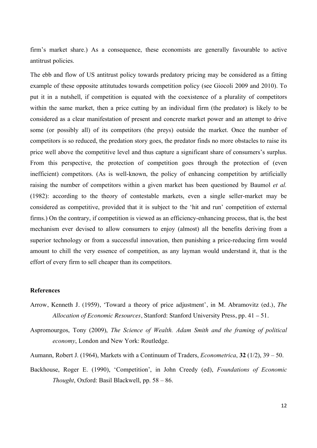firm's market share.) As a consequence, these economists are generally favourable to active antitrust policies.

The ebb and flow of US antitrust policy towards predatory pricing may be considered as a fitting example of these opposite attitutudes towards competition policy (see Giocoli 2009 and 2010). To put it in a nutshell, if competition is equated with the coexistence of a plurality of competitors within the same market, then a price cutting by an individual firm (the predator) is likely to be considered as a clear manifestation of present and concrete market power and an attempt to drive some (or possibly all) of its competitors (the preys) outside the market. Once the number of competitors is so reduced, the predation story goes, the predator finds no more obstacles to raise its price well above the competitive level and thus capture a significant share of consumers's surplus. From this perspective, the protection of competition goes through the protection of (even inefficient) competitors. (As is well-known, the policy of enhancing competition by artificially raising the number of competitors within a given market has been questioned by Baumol *et al.* (1982): according to the theory of contestable markets, even a single seller-market may be considered as competitive, provided that it is subject to the 'hit and run' competition of external firms.) On the contrary, if competition is viewed as an efficiency-enhancing process, that is, the best mechanism ever devised to allow consumers to enjoy (almost) all the benefits deriving from a superior technology or from a successful innovation, then punishing a price-reducing firm would amount to chill the very essence of competition, as any layman would understand it, that is the effort of every firm to sell cheaper than its competitors.

#### **References**

- Arrow, Kenneth J. (1959), 'Toward a theory of price adjustment', in M. Abramovitz (ed.), *The Allocation of Economic Resources*, Stanford: Stanford University Press, pp. 41 – 51.
- Aspromourgos, Tony (2009), *The Science of Wealth. Adam Smith and the framing of political economy*, London and New York: Routledge.
- Aumann, Robert J. (1964), Markets with a Continuum of Traders, *Econometrica*, **32** (1/2), 39 50.
- Backhouse, Roger E. (1990), 'Competition', in John Creedy (ed), *Foundations of Economic Thought*, Oxford: Basil Blackwell, pp. 58 – 86.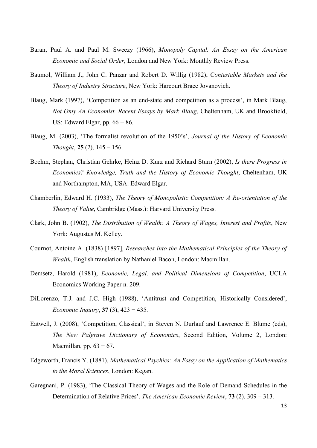- Baran, Paul A. and Paul M. Sweezy (1966), *Monopoly Capital. An Essay on the American Economic and Social Order*, London and New York: Monthly Review Press.
- Baumol, William J., John C. Panzar and Robert D. Willig (1982), C*ontestable Markets and the Theory of Industry Structure*, New York: Harcourt Brace Jovanovich.
- Blaug, Mark (1997), 'Competition as an end-state and competition as a process', in Mark Blaug, *Not Only An Economist. Recent Essays by Mark Blaug,* Cheltenham, UK and Brookfield, US: Edward Elgar, pp.  $66 - 86$ .
- Blaug, M. (2003), 'The formalist revolution of the 1950's', *Journal of the History of Economic Thought*, **25** (2), 145 – 156.
- Boehm, Stephan, Christian Gehrke, Heinz D. Kurz and Richard Sturn (2002), *Is there Progress in Economics? Knowledge, Truth and the History of Economic Thought*, Cheltenham, UK and Northampton, MA, USA: Edward Elgar.
- Chamberlin, Edward H. (1933), *The Theory of Monopolistic Competition: A Re-orientation of the Theory of Value*, Cambridge (Mass.): Harvard University Press.
- Clark, John B. (1902), *The Distribution of Wealth: A Theory of Wages, Interest and Profits*, New York: Augustus M. Kelley.
- Cournot, Antoine A. (1838) [1897], *Researches into the Mathematical Principles of the Theory of Wealth*, English translation by Nathaniel Bacon, London: Macmillan.
- Demsetz, Harold (1981), *Economic, Legal, and Political Dimensions of Competition*, UCLA Economics Working Paper n. 209.
- DiLorenzo, T.J. and J.C. High (1988), 'Antitrust and Competition, Historically Considered', *Economic Inquiry*, **37** (3), 423 − 435.
- Eatwell, J. (2008), 'Competition, Classical', in Steven N. Durlauf and Lawrence E. Blume (eds), *The New Palgrave Dictionary of Economics*, Second Edition, Volume 2, London: Macmillan, pp.  $63 - 67$ .
- Edgeworth, Francis Y. (1881), *Mathematical Psychics: An Essay on the Application of Mathematics to the Moral Sciences*, London: Kegan.
- Garegnani, P. (1983), 'The Classical Theory of Wages and the Role of Demand Schedules in the Determination of Relative Prices', *The American Economic Review*, **73** (2), 309 – 313.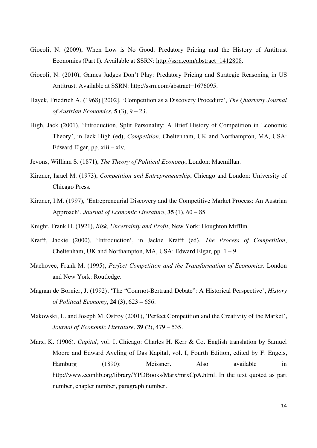- Giocoli, N. (2009), When Low is No Good: Predatory Pricing and the History of Antitrust Economics (Part I). Available at SSRN: http://ssrn.com/abstract=1412808.
- Giocoli, N. (2010), Games Judges Don't Play: Predatory Pricing and Strategic Reasoning in US Antitrust. Available at SSRN: http://ssrn.com/abstract=1676095.
- Hayek, Friedrich A. (1968) [2002], 'Competition as a Discovery Procedure', *The Quarterly Journal of Austrian Economics*, **5** (3), 9 – 23.
- High, Jack (2001), 'Introduction. Split Personality: A Brief History of Competition in Economic Theory', in Jack High (ed), *Competition*, Cheltenham, UK and Northampton, MA, USA: Edward Elgar, pp.  $xiii - xlv$ .
- Jevons, William S. (1871), *The Theory of Political Economy*, London: Macmillan.
- Kirzner, Israel M. (1973), *Competition and Entrepreneurship*, Chicago and London: University of Chicago Press.
- Kirzner, I.M. (1997), 'Entrepreneurial Discovery and the Competitive Market Process: An Austrian Approach', *Journal of Economic Literature*, **35** (1), 60 – 85.
- Knight, Frank H. (1921), *Risk, Uncertainty and Profit*, New York: Houghton Mifflin.
- Krafft, Jackie (2000), 'Introduction', in Jackie Krafft (ed), *The Process of Competition*, Cheltenham, UK and Northampton, MA, USA: Edward Elgar, pp.  $1 - 9$ .
- Machovec, Frank M. (1995), *Perfect Competition and the Transformation of Economics*. London and New York: Routledge.
- Magnan de Bornier, J. (1992), 'The "Cournot-Bertrand Debate": A Historical Perspective', *History of Political Economy*, **24** (3), 623 – 656.
- Makowski, L. and Joseph M. Ostroy (2001), 'Perfect Competition and the Creativity of the Market', *Journal of Economic Literature*, **39** (2), 479 – 535.
- Marx, K. (1906). *Capital*, vol. I, Chicago: Charles H. Kerr & Co. English translation by Samuel Moore and Edward Aveling of Das Kapital, vol. I, Fourth Edition, edited by F. Engels, Hamburg (1890): Meissner. Also available in http://www.econlib.org/library/YPDBooks/Marx/mrxCpA.html. In the text quoted as part number, chapter number, paragraph number.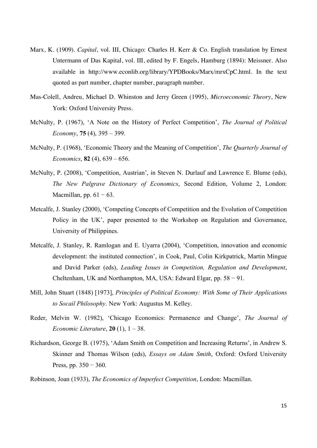- Marx, K. (1909). *Capital*, vol. III, Chicago: Charles H. Kerr & Co. English translation by Ernest Untermann of Das Kapital, vol. III, edited by F. Engels, Hamburg (1894): Meissner. Also available in http://www.econlib.org/library/YPDBooks/Marx/mrxCpC.html. In the text quoted as part number, chapter number, paragraph number.
- Mas-Colell, Andreu, Michael D. Whinston and Jerry Green (1995), *Microeconomic Theory*, New York: Oxford University Press.
- McNulty, P. (1967), 'A Note on the History of Perfect Competition', *The Journal of Political Economy*, **75** (4), 395 – 399.
- McNulty, P. (1968), 'Economic Theory and the Meaning of Competition', *The Quarterly Journal of Economics*, **82** (4), 639 – 656.
- McNulty, P. (2008), 'Competition, Austrian', in Steven N. Durlauf and Lawrence E. Blume (eds), *The New Palgrave Dictionary of Economics*, Second Edition, Volume 2, London: Macmillan, pp.  $61 - 63$ .
- Metcalfe, J. Stanley (2000), 'Competing Concepts of Competition and the Evolution of Competition Policy in the UK', paper presented to the Workshop on Regulation and Governance, University of Philippines.
- Metcalfe, J. Stanley, R. Ramlogan and E. Uyarra (2004), 'Competition, innovation and economic development: the instituted connection', in Cook, Paul, Colin Kirkpatrick, Martin Mingue and David Parker (eds), *Leading Issues in Competition, Regulation and Development*, Cheltenham, UK and Northampton, MA, USA: Edward Elgar, pp. 58 − 91.
- Mill, John Stuart (1848) [1973], *Principles of Political Economy: With Some of Their Applications to Socail Philosophy*. New York: Augustus M. Kelley.
- Reder, Melvin W. (1982), 'Chicago Economics: Permanence and Change', *The Journal of Economic Literature*, **20** (1), 1 – 38.
- Richardson, George B. (1975), 'Adam Smith on Competition and Increasing Returns', in Andrew S. Skinner and Thomas Wilson (eds), *Essays on Adam Smith*, Oxford: Oxford University Press, pp. 350 − 360.
- Robinson, Joan (1933), *The Economics of Imperfect Competition*, London: Macmillan.